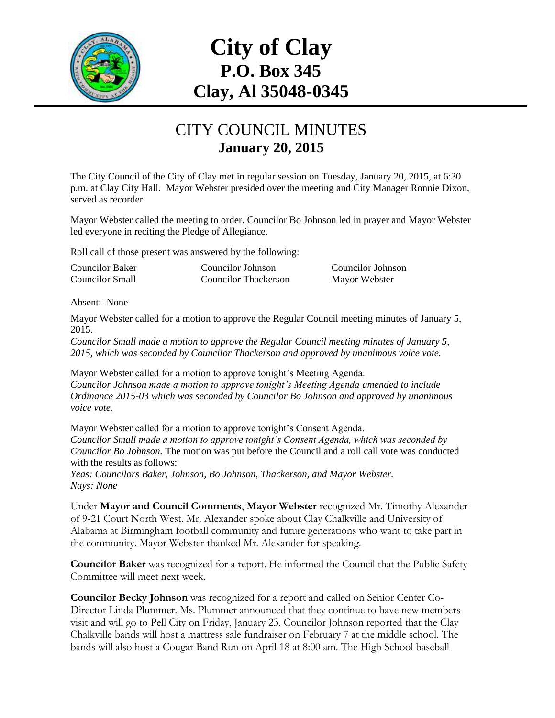

# **City of Clay P.O. Box 345 Clay, Al 35048-0345**

#### CITY COUNCIL MINUTES **January 20, 2015**

The City Council of the City of Clay met in regular session on Tuesday, January 20, 2015, at 6:30 p.m. at Clay City Hall. Mayor Webster presided over the meeting and City Manager Ronnie Dixon, served as recorder.

Mayor Webster called the meeting to order. Councilor Bo Johnson led in prayer and Mayor Webster led everyone in reciting the Pledge of Allegiance.

Roll call of those present was answered by the following:

| <b>Councilor Baker</b> | Councilor Johnson    | Councilor Johnson |
|------------------------|----------------------|-------------------|
| <b>Councilor Small</b> | Councilor Thackerson | Mayor Webster     |

Absent: None

Mayor Webster called for a motion to approve the Regular Council meeting minutes of January 5, 2015.

*Councilor Small made a motion to approve the Regular Council meeting minutes of January 5, 2015, which was seconded by Councilor Thackerson and approved by unanimous voice vote.*

Mayor Webster called for a motion to approve tonight's Meeting Agenda. *Councilor Johnson made a motion to approve tonight's Meeting Agenda amended to include Ordinance 2015-03 which was seconded by Councilor Bo Johnson and approved by unanimous voice vote.*

Mayor Webster called for a motion to approve tonight's Consent Agenda. *Councilor Small made a motion to approve tonight's Consent Agenda, which was seconded by Councilor Bo Johnson.* The motion was put before the Council and a roll call vote was conducted with the results as follows:

*Yeas: Councilors Baker, Johnson, Bo Johnson, Thackerson, and Mayor Webster. Nays: None*

Under **Mayor and Council Comments**, **Mayor Webster** recognized Mr. Timothy Alexander of 9-21 Court North West. Mr. Alexander spoke about Clay Chalkville and University of Alabama at Birmingham football community and future generations who want to take part in the community. Mayor Webster thanked Mr. Alexander for speaking.

**Councilor Baker** was recognized for a report. He informed the Council that the Public Safety Committee will meet next week.

**Councilor Becky Johnson** was recognized for a report and called on Senior Center Co-Director Linda Plummer. Ms. Plummer announced that they continue to have new members visit and will go to Pell City on Friday, January 23. Councilor Johnson reported that the Clay Chalkville bands will host a mattress sale fundraiser on February 7 at the middle school. The bands will also host a Cougar Band Run on April 18 at 8:00 am. The High School baseball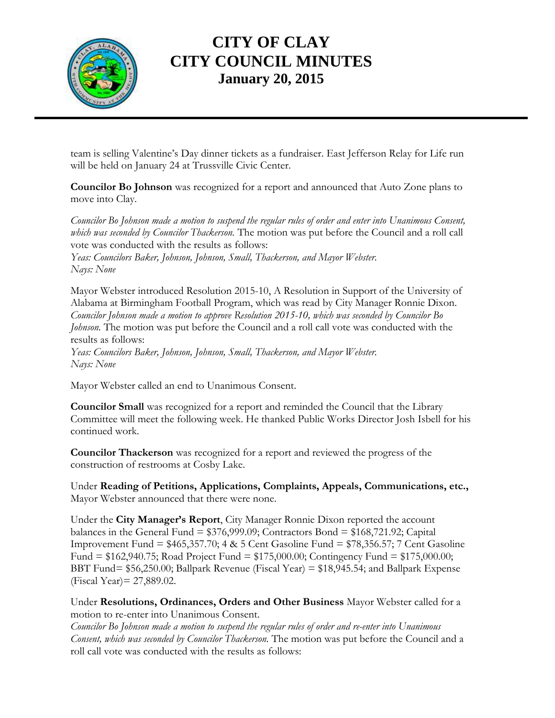

# **CITY OF CLAY CITY COUNCIL MINUTES January 20, 2015**

team is selling Valentine's Day dinner tickets as a fundraiser. East Jefferson Relay for Life run will be held on January 24 at Trussville Civic Center.

**Councilor Bo Johnson** was recognized for a report and announced that Auto Zone plans to move into Clay.

*Councilor Bo Johnson made a motion to suspend the regular rules of order and enter into Unanimous Consent, which was seconded by Councilor Thackerson.* The motion was put before the Council and a roll call vote was conducted with the results as follows:

*Yeas: Councilors Baker, Johnson, Johnson, Small, Thackerson, and Mayor Webster. Nays: None*

Mayor Webster introduced Resolution 2015-10, A Resolution in Support of the University of Alabama at Birmingham Football Program, which was read by City Manager Ronnie Dixon. *Councilor Johnson made a motion to approve Resolution 2015-10, which was seconded by Councilor Bo Johnson.* The motion was put before the Council and a roll call vote was conducted with the results as follows:

*Yeas: Councilors Baker, Johnson, Johnson, Small, Thackerson, and Mayor Webster. Nays: None*

Mayor Webster called an end to Unanimous Consent.

**Councilor Small** was recognized for a report and reminded the Council that the Library Committee will meet the following week. He thanked Public Works Director Josh Isbell for his continued work.

**Councilor Thackerson** was recognized for a report and reviewed the progress of the construction of restrooms at Cosby Lake.

Under **Reading of Petitions, Applications, Complaints, Appeals, Communications, etc.,** Mayor Webster announced that there were none.

Under the **City Manager's Report**, City Manager Ronnie Dixon reported the account balances in the General Fund = \$376,999.09; Contractors Bond = \$168,721.92; Capital Improvement Fund = \$465,357.70; 4 & 5 Cent Gasoline Fund = \$78,356.57; 7 Cent Gasoline Fund = \$162,940.75; Road Project Fund = \$175,000.00; Contingency Fund = \$175,000.00; BBT Fund= \$56,250.00; Ballpark Revenue (Fiscal Year) = \$18,945.54; and Ballpark Expense (Fiscal Year)= 27,889.02.

Under **Resolutions, Ordinances, Orders and Other Business** Mayor Webster called for a motion to re-enter into Unanimous Consent.

*Councilor Bo Johnson made a motion to suspend the regular rules of order and re-enter into Unanimous Consent, which was seconded by Councilor Thackerson.* The motion was put before the Council and a roll call vote was conducted with the results as follows: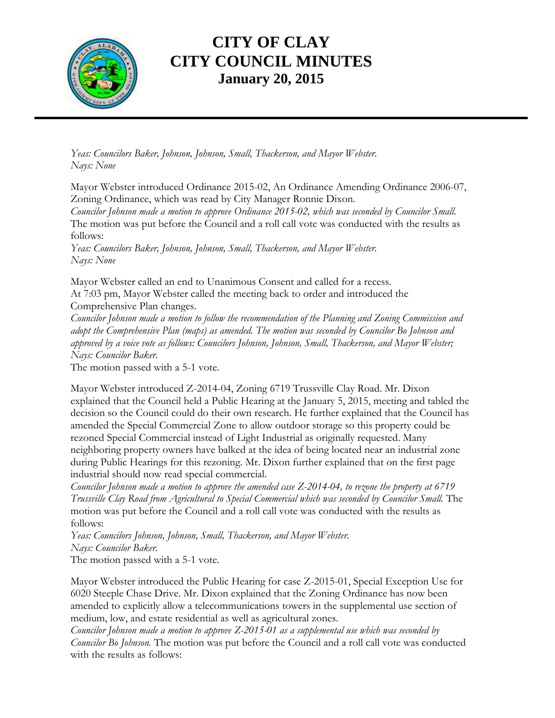

# **CITY OF CLAY CITY COUNCIL MINUTES January 20, 2015**

*Yeas: Councilors Baker, Johnson, Johnson, Small, Thackerson, and Mayor Webster. Nays: None*

Mayor Webster introduced Ordinance 2015-02, An Ordinance Amending Ordinance 2006-07, Zoning Ordinance, which was read by City Manager Ronnie Dixon.

*Councilor Johnson made a motion to approve Ordinance 2015-02, which was seconded by Councilor Small.*  The motion was put before the Council and a roll call vote was conducted with the results as follows:

*Yeas: Councilors Baker, Johnson, Johnson, Small, Thackerson, and Mayor Webster. Nays: None*

Mayor Webster called an end to Unanimous Consent and called for a recess. At 7:03 pm, Mayor Webster called the meeting back to order and introduced the Comprehensive Plan changes.

*Councilor Johnson made a motion to follow the recommendation of the Planning and Zoning Commission and adopt the Comprehensive Plan (maps) as amended. The motion was seconded by Councilor Bo Johnson and approved by a voice vote as follows: Councilors Johnson, Johnson, Small, Thackerson, and Mayor Webster; Nays: Councilor Baker.* 

The motion passed with a 5-1 vote.

Mayor Webster introduced Z-2014-04, Zoning 6719 Trussville Clay Road. Mr. Dixon explained that the Council held a Public Hearing at the January 5, 2015, meeting and tabled the decision so the Council could do their own research. He further explained that the Council has amended the Special Commercial Zone to allow outdoor storage so this property could be rezoned Special Commercial instead of Light Industrial as originally requested. Many neighboring property owners have balked at the idea of being located near an industrial zone during Public Hearings for this rezoning. Mr. Dixon further explained that on the first page industrial should now read special commercial.

*Councilor Johnson made a motion to approve the amended case Z-2014-04, to rezone the property at 6719 Trussville Clay Road from Agricultural to Special Commercial which was seconded by Councilor Small.* The motion was put before the Council and a roll call vote was conducted with the results as follows:

*Yeas: Councilors Johnson, Johnson, Small, Thackerson, and Mayor Webster. Nays: Councilor Baker.*

The motion passed with a 5-1 vote.

Mayor Webster introduced the Public Hearing for case Z-2015-01, Special Exception Use for 6020 Steeple Chase Drive. Mr. Dixon explained that the Zoning Ordinance has now been amended to explicitly allow a telecommunications towers in the supplemental use section of medium, low, and estate residential as well as agricultural zones.

*Councilor Johnson made a motion to approve Z-2015-01 as a supplemental use which was seconded by Councilor Bo Johnson.* The motion was put before the Council and a roll call vote was conducted with the results as follows: